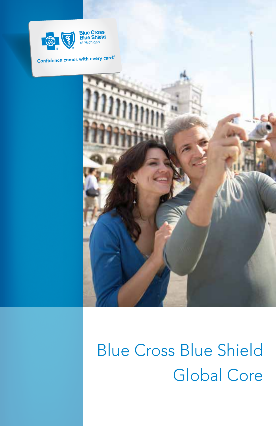

#### *Confidence comes with every card. ®*



# Blue Cross Blue Shield Global Core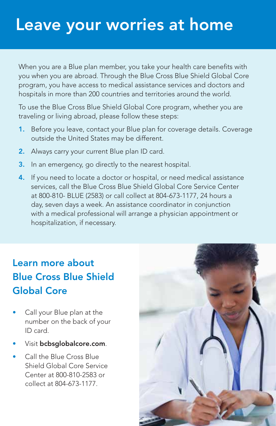## Leave your worries at home

When you are a Blue plan member, you take your health care benefits with you when you are abroad. Through the Blue Cross Blue Shield Global Core program, you have access to medical assistance services and doctors and hospitals in more than 200 countries and territories around the world.

To use the Blue Cross Blue Shield Global Core program, whether you are traveling or living abroad, please follow these steps:

- 1. Before you leave, contact your Blue plan for coverage details. Coverage outside the United States may be different.
- 2. Always carry your current Blue plan ID card.
- 3. In an emergency, go directly to the nearest hospital.
- 4. If you need to locate a doctor or hospital, or need medical assistance services, call the Blue Cross Blue Shield Global Core Service Center at 800-810- BLUE (2583) or call collect at 804-673-1177, 24 hours a day, seven days a week. An assistance coordinator in conjunction with a medical professional will arrange a physician appointment or hospitalization, if necessary.

## Learn more about Blue Cross Blue Shield Global Core

- Call your Blue plan at the number on the back of your ID card.
- Visit bcbsglobalcore.com.
- Call the Blue Cross Blue Shield Global Core Service Center at 800-810-2583 or collect at 804-673-1177.

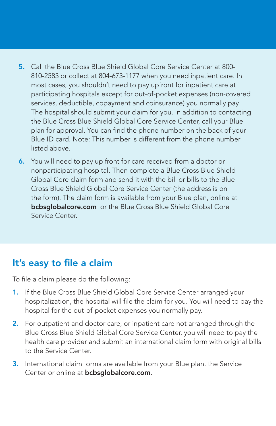- 5. Call the Blue Cross Blue Shield Global Core Service Center at 800- 810-2583 or collect at 804-673-1177 when you need inpatient care. In most cases, you shouldn't need to pay upfront for inpatient care at participating hospitals except for out-of-pocket expenses (non-covered services, deductible, copayment and coinsurance) you normally pay. The hospital should submit your claim for you. In addition to contacting the Blue Cross Blue Shield Global Core Service Center, call your Blue plan for approval. You can find the phone number on the back of your Blue ID card. Note: This number is different from the phone number listed above.
- 6. You will need to pay up front for care received from a doctor or nonparticipating hospital. Then complete a Blue Cross Blue Shield Global Core claim form and send it with the bill or bills to the Blue Cross Blue Shield Global Core Service Center (the address is on the form). The claim form is available from your Blue plan, online at **bcbsglobalcore.com** or the Blue Cross Blue Shield Global Core Service Center.

#### It's easy to file a claim

To file a claim please do the following:

- 1. If the Blue Cross Blue Shield Global Core Service Center arranged your hospitalization, the hospital will file the claim for you. You will need to pay the hospital for the out-of-pocket expenses you normally pay.
- 2. For outpatient and doctor care, or inpatient care not arranged through the Blue Cross Blue Shield Global Core Service Center, you will need to pay the health care provider and submit an international claim form with original bills to the Service Center.
- 3. International claim forms are available from your Blue plan, the Service Center or online at **bcbsglobalcore.com**.